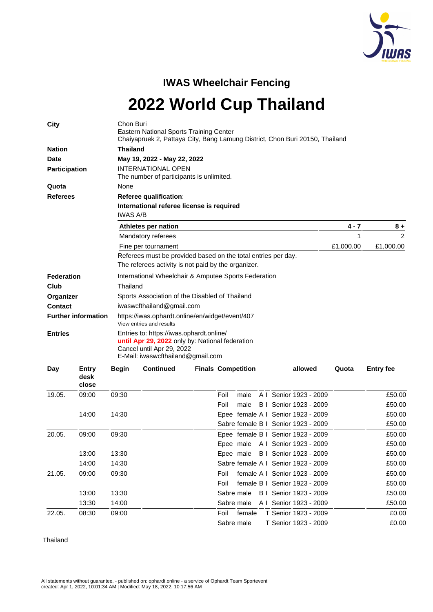

**IWAS Wheelchair Fencing 2022 World Cup Thailand**

| <b>Nation</b><br><b>Thailand</b><br>Date<br>May 19, 2022 - May 22, 2022<br><b>INTERNATIONAL OPEN</b><br><b>Participation</b><br>The number of participants is unlimited.<br>None<br>Quota<br><b>Referees</b><br>Referee qualification:<br>International referee license is required<br><b>IWAS A/B</b><br>Athletes per nation<br>$4 - 7$<br>$8+$<br>2<br>Mandatory referees<br>1<br>£1,000.00<br>£1,000.00<br>Fine per tournament<br>Referees must be provided based on the total entries per day.<br>The referees activity is not paid by the organizer.<br>International Wheelchair & Amputee Sports Federation<br><b>Federation</b><br>Thailand<br>Club<br>Sports Association of the Disabled of Thailand<br>Organizer<br><b>Contact</b><br>iwaswcfthailand@gmail.com<br><b>Further information</b><br>https://iwas.ophardt.online/en/widget/event/407<br>View entries and results<br>Entries to: https://iwas.ophardt.online/<br><b>Entries</b><br>until Apr 29, 2022 only by: National federation<br>Cancel until Apr 29, 2022<br>E-Mail: iwaswcfthailand@gmail.com<br><b>Continued</b><br><b>Finals Competition</b><br>allowed<br><b>Entry fee</b><br><b>Day</b><br>Entry<br><b>Begin</b><br>Quota<br>desk<br>close<br>19.05.<br>09:00<br>09:30<br>Foil<br>A I Senior 1923 - 2009<br>£50.00<br>male<br>Foil<br>male<br>B   Senior 1923 - 2009<br>£50.00<br>14:00<br>14:30<br>Epee female A I Senior 1923 - 2009<br>£50.00<br>Sabre female B   Senior 1923 - 2009<br>£50.00 | City |  | Chon Buri<br>Eastern National Sports Training Center<br>Chaiyapruek 2, Pattaya City, Bang Lamung District, Chon Buri 20150, Thailand |  |  |  |  |  |  |  |  |  |
|----------------------------------------------------------------------------------------------------------------------------------------------------------------------------------------------------------------------------------------------------------------------------------------------------------------------------------------------------------------------------------------------------------------------------------------------------------------------------------------------------------------------------------------------------------------------------------------------------------------------------------------------------------------------------------------------------------------------------------------------------------------------------------------------------------------------------------------------------------------------------------------------------------------------------------------------------------------------------------------------------------------------------------------------------------------------------------------------------------------------------------------------------------------------------------------------------------------------------------------------------------------------------------------------------------------------------------------------------------------------------------------------------------------------------------------------------------------------------------|------|--|--------------------------------------------------------------------------------------------------------------------------------------|--|--|--|--|--|--|--|--|--|
|                                                                                                                                                                                                                                                                                                                                                                                                                                                                                                                                                                                                                                                                                                                                                                                                                                                                                                                                                                                                                                                                                                                                                                                                                                                                                                                                                                                                                                                                                  |      |  |                                                                                                                                      |  |  |  |  |  |  |  |  |  |
|                                                                                                                                                                                                                                                                                                                                                                                                                                                                                                                                                                                                                                                                                                                                                                                                                                                                                                                                                                                                                                                                                                                                                                                                                                                                                                                                                                                                                                                                                  |      |  |                                                                                                                                      |  |  |  |  |  |  |  |  |  |
|                                                                                                                                                                                                                                                                                                                                                                                                                                                                                                                                                                                                                                                                                                                                                                                                                                                                                                                                                                                                                                                                                                                                                                                                                                                                                                                                                                                                                                                                                  |      |  |                                                                                                                                      |  |  |  |  |  |  |  |  |  |
|                                                                                                                                                                                                                                                                                                                                                                                                                                                                                                                                                                                                                                                                                                                                                                                                                                                                                                                                                                                                                                                                                                                                                                                                                                                                                                                                                                                                                                                                                  |      |  |                                                                                                                                      |  |  |  |  |  |  |  |  |  |
|                                                                                                                                                                                                                                                                                                                                                                                                                                                                                                                                                                                                                                                                                                                                                                                                                                                                                                                                                                                                                                                                                                                                                                                                                                                                                                                                                                                                                                                                                  |      |  |                                                                                                                                      |  |  |  |  |  |  |  |  |  |
|                                                                                                                                                                                                                                                                                                                                                                                                                                                                                                                                                                                                                                                                                                                                                                                                                                                                                                                                                                                                                                                                                                                                                                                                                                                                                                                                                                                                                                                                                  |      |  |                                                                                                                                      |  |  |  |  |  |  |  |  |  |
|                                                                                                                                                                                                                                                                                                                                                                                                                                                                                                                                                                                                                                                                                                                                                                                                                                                                                                                                                                                                                                                                                                                                                                                                                                                                                                                                                                                                                                                                                  |      |  |                                                                                                                                      |  |  |  |  |  |  |  |  |  |
|                                                                                                                                                                                                                                                                                                                                                                                                                                                                                                                                                                                                                                                                                                                                                                                                                                                                                                                                                                                                                                                                                                                                                                                                                                                                                                                                                                                                                                                                                  |      |  |                                                                                                                                      |  |  |  |  |  |  |  |  |  |
|                                                                                                                                                                                                                                                                                                                                                                                                                                                                                                                                                                                                                                                                                                                                                                                                                                                                                                                                                                                                                                                                                                                                                                                                                                                                                                                                                                                                                                                                                  |      |  |                                                                                                                                      |  |  |  |  |  |  |  |  |  |
|                                                                                                                                                                                                                                                                                                                                                                                                                                                                                                                                                                                                                                                                                                                                                                                                                                                                                                                                                                                                                                                                                                                                                                                                                                                                                                                                                                                                                                                                                  |      |  |                                                                                                                                      |  |  |  |  |  |  |  |  |  |
|                                                                                                                                                                                                                                                                                                                                                                                                                                                                                                                                                                                                                                                                                                                                                                                                                                                                                                                                                                                                                                                                                                                                                                                                                                                                                                                                                                                                                                                                                  |      |  |                                                                                                                                      |  |  |  |  |  |  |  |  |  |
|                                                                                                                                                                                                                                                                                                                                                                                                                                                                                                                                                                                                                                                                                                                                                                                                                                                                                                                                                                                                                                                                                                                                                                                                                                                                                                                                                                                                                                                                                  |      |  |                                                                                                                                      |  |  |  |  |  |  |  |  |  |
|                                                                                                                                                                                                                                                                                                                                                                                                                                                                                                                                                                                                                                                                                                                                                                                                                                                                                                                                                                                                                                                                                                                                                                                                                                                                                                                                                                                                                                                                                  |      |  |                                                                                                                                      |  |  |  |  |  |  |  |  |  |
|                                                                                                                                                                                                                                                                                                                                                                                                                                                                                                                                                                                                                                                                                                                                                                                                                                                                                                                                                                                                                                                                                                                                                                                                                                                                                                                                                                                                                                                                                  |      |  |                                                                                                                                      |  |  |  |  |  |  |  |  |  |
|                                                                                                                                                                                                                                                                                                                                                                                                                                                                                                                                                                                                                                                                                                                                                                                                                                                                                                                                                                                                                                                                                                                                                                                                                                                                                                                                                                                                                                                                                  |      |  |                                                                                                                                      |  |  |  |  |  |  |  |  |  |
|                                                                                                                                                                                                                                                                                                                                                                                                                                                                                                                                                                                                                                                                                                                                                                                                                                                                                                                                                                                                                                                                                                                                                                                                                                                                                                                                                                                                                                                                                  |      |  |                                                                                                                                      |  |  |  |  |  |  |  |  |  |
|                                                                                                                                                                                                                                                                                                                                                                                                                                                                                                                                                                                                                                                                                                                                                                                                                                                                                                                                                                                                                                                                                                                                                                                                                                                                                                                                                                                                                                                                                  |      |  |                                                                                                                                      |  |  |  |  |  |  |  |  |  |
|                                                                                                                                                                                                                                                                                                                                                                                                                                                                                                                                                                                                                                                                                                                                                                                                                                                                                                                                                                                                                                                                                                                                                                                                                                                                                                                                                                                                                                                                                  |      |  |                                                                                                                                      |  |  |  |  |  |  |  |  |  |
|                                                                                                                                                                                                                                                                                                                                                                                                                                                                                                                                                                                                                                                                                                                                                                                                                                                                                                                                                                                                                                                                                                                                                                                                                                                                                                                                                                                                                                                                                  |      |  |                                                                                                                                      |  |  |  |  |  |  |  |  |  |
|                                                                                                                                                                                                                                                                                                                                                                                                                                                                                                                                                                                                                                                                                                                                                                                                                                                                                                                                                                                                                                                                                                                                                                                                                                                                                                                                                                                                                                                                                  |      |  |                                                                                                                                      |  |  |  |  |  |  |  |  |  |
|                                                                                                                                                                                                                                                                                                                                                                                                                                                                                                                                                                                                                                                                                                                                                                                                                                                                                                                                                                                                                                                                                                                                                                                                                                                                                                                                                                                                                                                                                  |      |  |                                                                                                                                      |  |  |  |  |  |  |  |  |  |
|                                                                                                                                                                                                                                                                                                                                                                                                                                                                                                                                                                                                                                                                                                                                                                                                                                                                                                                                                                                                                                                                                                                                                                                                                                                                                                                                                                                                                                                                                  |      |  |                                                                                                                                      |  |  |  |  |  |  |  |  |  |
|                                                                                                                                                                                                                                                                                                                                                                                                                                                                                                                                                                                                                                                                                                                                                                                                                                                                                                                                                                                                                                                                                                                                                                                                                                                                                                                                                                                                                                                                                  |      |  |                                                                                                                                      |  |  |  |  |  |  |  |  |  |

|        |       |       | Sapre remale B   Senior 1923 - 2009    | LOU.UU |
|--------|-------|-------|----------------------------------------|--------|
| 20.05. | 09:00 | 09:30 | Epee female B I Senior 1923 - 2009     | £50.00 |
|        |       |       | Epee male A I Senior 1923 - 2009       | £50.00 |
|        | 13:00 | 13:30 | Epee male B I Senior 1923 - 2009       | £50.00 |
|        | 14:00 | 14:30 | Sabre female A I Senior 1923 - 2009    | £50.00 |
| 21.05. | 09:00 | 09:30 | female A I Senior 1923 - 2009<br>Foil  | £50.00 |
|        |       |       | female B   Senior 1923 - 2009<br>Foil  | £50.00 |
|        | 13:00 | 13:30 | Sabre male B   Senior 1923 - 2009      | £50.00 |
|        | 13:30 | 14:00 | Sabre male A I Senior 1923 - 2009      | £50.00 |
| 22.05. | 08:30 | 09:00 | T Senior 1923 - 2009<br>female<br>Foil | £0.00  |
|        |       |       | T Senior 1923 - 2009<br>Sabre male     | £0.00  |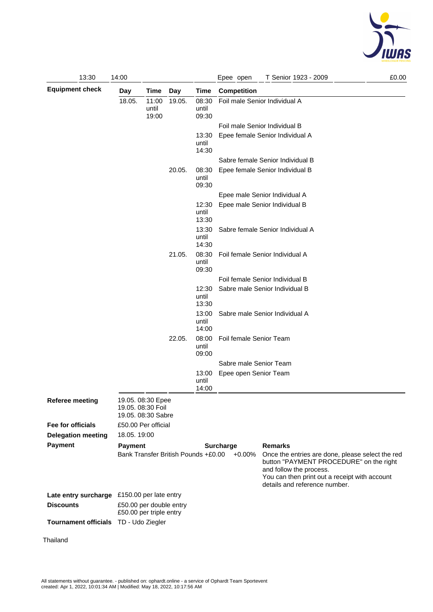

| 13:30                                                                  | 14:00                                                        |                         |        |                         | £0.00<br>Epee open<br>T Senior 1923 - 2009                                                                                                                                                                           |  |  |  |  |
|------------------------------------------------------------------------|--------------------------------------------------------------|-------------------------|--------|-------------------------|----------------------------------------------------------------------------------------------------------------------------------------------------------------------------------------------------------------------|--|--|--|--|
| <b>Equipment check</b>                                                 | Day<br>Time<br>Day                                           |                         |        | Time                    | Competition                                                                                                                                                                                                          |  |  |  |  |
|                                                                        | 18.05.                                                       | 11:00<br>until<br>19:00 | 19.05. | 08:30<br>until<br>09:30 | Foil male Senior Individual A                                                                                                                                                                                        |  |  |  |  |
|                                                                        |                                                              |                         |        |                         | Foil male Senior Individual B                                                                                                                                                                                        |  |  |  |  |
|                                                                        |                                                              |                         |        | 13:30<br>until<br>14:30 | Epee female Senior Individual A                                                                                                                                                                                      |  |  |  |  |
|                                                                        |                                                              |                         |        |                         | Sabre female Senior Individual B                                                                                                                                                                                     |  |  |  |  |
|                                                                        |                                                              |                         | 20.05. | 08:30<br>until<br>09:30 | Epee female Senior Individual B                                                                                                                                                                                      |  |  |  |  |
|                                                                        |                                                              |                         |        |                         | Epee male Senior Individual A                                                                                                                                                                                        |  |  |  |  |
|                                                                        |                                                              |                         |        | 12:30<br>until<br>13:30 | Epee male Senior Individual B                                                                                                                                                                                        |  |  |  |  |
|                                                                        |                                                              |                         |        | 13:30<br>until<br>14:30 | Sabre female Senior Individual A                                                                                                                                                                                     |  |  |  |  |
|                                                                        |                                                              |                         | 21.05. | 08:30<br>until<br>09:30 | Foil female Senior Individual A                                                                                                                                                                                      |  |  |  |  |
|                                                                        | 12:30<br>until<br>13:30                                      |                         |        |                         | Foil female Senior Individual B                                                                                                                                                                                      |  |  |  |  |
|                                                                        |                                                              |                         |        |                         | Sabre male Senior Individual B                                                                                                                                                                                       |  |  |  |  |
|                                                                        |                                                              |                         |        | 13:00<br>until<br>14:00 | Sabre male Senior Individual A                                                                                                                                                                                       |  |  |  |  |
|                                                                        |                                                              |                         | 22.05. | 08:00<br>until<br>09:00 | Foil female Senior Team                                                                                                                                                                                              |  |  |  |  |
|                                                                        |                                                              |                         |        |                         | Sabre male Senior Team                                                                                                                                                                                               |  |  |  |  |
|                                                                        |                                                              |                         |        | 13:00<br>until<br>14:00 | Epee open Senior Team                                                                                                                                                                                                |  |  |  |  |
| <b>Referee meeting</b>                                                 | 19.05. 08:30 Epee<br>19.05. 08:30 Foil<br>19.05. 08:30 Sabre |                         |        |                         |                                                                                                                                                                                                                      |  |  |  |  |
| Fee for officials                                                      | £50.00 Per official                                          |                         |        |                         |                                                                                                                                                                                                                      |  |  |  |  |
| <b>Delegation meeting</b>                                              | 18.05. 19:00                                                 |                         |        |                         |                                                                                                                                                                                                                      |  |  |  |  |
| <b>Payment</b>                                                         | <b>Payment</b>                                               |                         |        |                         | <b>Remarks</b><br><b>Surcharge</b>                                                                                                                                                                                   |  |  |  |  |
|                                                                        | Bank Transfer British Pounds +£0.00                          |                         |        |                         | $+0.00%$<br>Once the entries are done, please select the red<br>button "PAYMENT PROCEDURE" on the right<br>and follow the process.<br>You can then print out a receipt with account<br>details and reference number. |  |  |  |  |
| Late entry surcharge £150.00 per late entry                            |                                                              |                         |        |                         |                                                                                                                                                                                                                      |  |  |  |  |
| <b>Discounts</b><br>£50.00 per double entry<br>£50.00 per triple entry |                                                              |                         |        |                         |                                                                                                                                                                                                                      |  |  |  |  |
| <b>Tournament officials</b>                                            | TD - Udo Ziegler                                             |                         |        |                         |                                                                                                                                                                                                                      |  |  |  |  |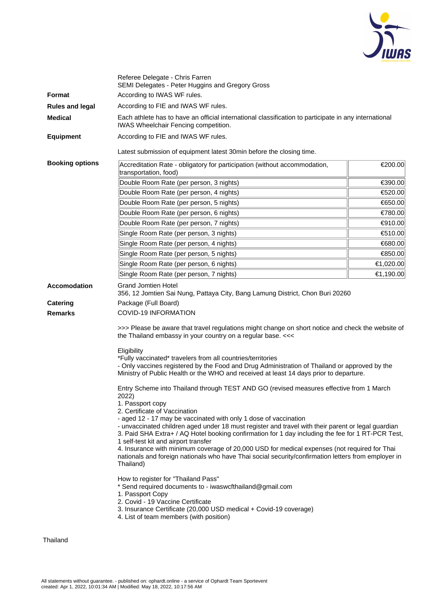

|                                                          | Referee Delegate - Chris Farren<br>SEMI Delegates - Peter Huggins and Gregory Gross                                                                                                                                                                                                                                                                                                                                                                                                                                                                                                                                                                                                                                                                                                                                                                                                                                                                                                                                                                                                                                                                                                                                                                                                                                                                                                                                                 |           |  |  |  |  |  |  |
|----------------------------------------------------------|-------------------------------------------------------------------------------------------------------------------------------------------------------------------------------------------------------------------------------------------------------------------------------------------------------------------------------------------------------------------------------------------------------------------------------------------------------------------------------------------------------------------------------------------------------------------------------------------------------------------------------------------------------------------------------------------------------------------------------------------------------------------------------------------------------------------------------------------------------------------------------------------------------------------------------------------------------------------------------------------------------------------------------------------------------------------------------------------------------------------------------------------------------------------------------------------------------------------------------------------------------------------------------------------------------------------------------------------------------------------------------------------------------------------------------------|-----------|--|--|--|--|--|--|
| <b>Format</b>                                            | According to IWAS WF rules.                                                                                                                                                                                                                                                                                                                                                                                                                                                                                                                                                                                                                                                                                                                                                                                                                                                                                                                                                                                                                                                                                                                                                                                                                                                                                                                                                                                                         |           |  |  |  |  |  |  |
| <b>Rules and legal</b>                                   | According to FIE and IWAS WF rules.                                                                                                                                                                                                                                                                                                                                                                                                                                                                                                                                                                                                                                                                                                                                                                                                                                                                                                                                                                                                                                                                                                                                                                                                                                                                                                                                                                                                 |           |  |  |  |  |  |  |
| <b>Medical</b>                                           | Each athlete has to have an official international classification to participate in any international<br><b>IWAS Wheelchair Fencing competition.</b>                                                                                                                                                                                                                                                                                                                                                                                                                                                                                                                                                                                                                                                                                                                                                                                                                                                                                                                                                                                                                                                                                                                                                                                                                                                                                |           |  |  |  |  |  |  |
| <b>Equipment</b>                                         | According to FIE and IWAS WF rules.                                                                                                                                                                                                                                                                                                                                                                                                                                                                                                                                                                                                                                                                                                                                                                                                                                                                                                                                                                                                                                                                                                                                                                                                                                                                                                                                                                                                 |           |  |  |  |  |  |  |
|                                                          | Latest submission of equipment latest 30 min before the closing time.                                                                                                                                                                                                                                                                                                                                                                                                                                                                                                                                                                                                                                                                                                                                                                                                                                                                                                                                                                                                                                                                                                                                                                                                                                                                                                                                                               |           |  |  |  |  |  |  |
| <b>Booking options</b>                                   |                                                                                                                                                                                                                                                                                                                                                                                                                                                                                                                                                                                                                                                                                                                                                                                                                                                                                                                                                                                                                                                                                                                                                                                                                                                                                                                                                                                                                                     |           |  |  |  |  |  |  |
|                                                          | Accreditation Rate - obligatory for participation (without accommodation,<br>transportation, food)                                                                                                                                                                                                                                                                                                                                                                                                                                                                                                                                                                                                                                                                                                                                                                                                                                                                                                                                                                                                                                                                                                                                                                                                                                                                                                                                  | €200.00   |  |  |  |  |  |  |
|                                                          | Double Room Rate (per person, 3 nights)                                                                                                                                                                                                                                                                                                                                                                                                                                                                                                                                                                                                                                                                                                                                                                                                                                                                                                                                                                                                                                                                                                                                                                                                                                                                                                                                                                                             | €390.00   |  |  |  |  |  |  |
|                                                          | Double Room Rate (per person, 4 nights)                                                                                                                                                                                                                                                                                                                                                                                                                                                                                                                                                                                                                                                                                                                                                                                                                                                                                                                                                                                                                                                                                                                                                                                                                                                                                                                                                                                             | €520.00   |  |  |  |  |  |  |
|                                                          | Double Room Rate (per person, 5 nights)                                                                                                                                                                                                                                                                                                                                                                                                                                                                                                                                                                                                                                                                                                                                                                                                                                                                                                                                                                                                                                                                                                                                                                                                                                                                                                                                                                                             | €650.00   |  |  |  |  |  |  |
|                                                          | Double Room Rate (per person, 6 nights)                                                                                                                                                                                                                                                                                                                                                                                                                                                                                                                                                                                                                                                                                                                                                                                                                                                                                                                                                                                                                                                                                                                                                                                                                                                                                                                                                                                             | €780.00   |  |  |  |  |  |  |
|                                                          | Double Room Rate (per person, 7 nights)                                                                                                                                                                                                                                                                                                                                                                                                                                                                                                                                                                                                                                                                                                                                                                                                                                                                                                                                                                                                                                                                                                                                                                                                                                                                                                                                                                                             | €910.00   |  |  |  |  |  |  |
|                                                          | Single Room Rate (per person, 3 nights)                                                                                                                                                                                                                                                                                                                                                                                                                                                                                                                                                                                                                                                                                                                                                                                                                                                                                                                                                                                                                                                                                                                                                                                                                                                                                                                                                                                             | €510.00   |  |  |  |  |  |  |
|                                                          | Single Room Rate (per person, 4 nights)                                                                                                                                                                                                                                                                                                                                                                                                                                                                                                                                                                                                                                                                                                                                                                                                                                                                                                                                                                                                                                                                                                                                                                                                                                                                                                                                                                                             | €680.00   |  |  |  |  |  |  |
|                                                          | Single Room Rate (per person, 5 nights)                                                                                                                                                                                                                                                                                                                                                                                                                                                                                                                                                                                                                                                                                                                                                                                                                                                                                                                                                                                                                                                                                                                                                                                                                                                                                                                                                                                             | €850.00   |  |  |  |  |  |  |
|                                                          | Single Room Rate (per person, 6 nights)                                                                                                                                                                                                                                                                                                                                                                                                                                                                                                                                                                                                                                                                                                                                                                                                                                                                                                                                                                                                                                                                                                                                                                                                                                                                                                                                                                                             | €1,020.00 |  |  |  |  |  |  |
|                                                          | Single Room Rate (per person, 7 nights)                                                                                                                                                                                                                                                                                                                                                                                                                                                                                                                                                                                                                                                                                                                                                                                                                                                                                                                                                                                                                                                                                                                                                                                                                                                                                                                                                                                             | €1,190.00 |  |  |  |  |  |  |
| <b>Accomodation</b><br><b>Catering</b><br><b>Remarks</b> | Grand Jomtien Hotel<br>356, 12 Jomtien Sai Nung, Pattaya City, Bang Lamung District, Chon Buri 20260<br>Package (Full Board)<br><b>COVID-19 INFORMATION</b><br>>>> Please be aware that travel regulations might change on short notice and check the website of<br>the Thailand embassy in your country on a regular base. <<<<br>Eligibility<br>*Fully vaccinated* travelers from all countries/territories<br>- Only vaccines registered by the Food and Drug Administration of Thailand or approved by the<br>Ministry of Public Health or the WHO and received at least 14 days prior to departure.<br>Entry Scheme into Thailand through TEST AND GO (revised measures effective from 1 March<br>2022)<br>1. Passport copy<br>2. Certificate of Vaccination<br>- aged 12 - 17 may be vaccinated with only 1 dose of vaccination<br>- unvaccinated children aged under 18 must register and travel with their parent or legal guardian<br>3. Paid SHA Extra+ / AQ Hotel booking confirmation for 1 day including the fee for 1 RT-PCR Test,<br>1 self-test kit and airport transfer<br>4. Insurance with minimum coverage of 20,000 USD for medical expenses (not required for Thai<br>nationals and foreign nationals who have Thai social security/confirmation letters from employer in<br>Thailand)<br>How to register for "Thailand Pass"<br>* Send required documents to - iwaswcfthailand@gmail.com<br>1. Passport Copy |           |  |  |  |  |  |  |
|                                                          | 2. Covid - 19 Vaccine Certificate<br>3. Insurance Certificate (20,000 USD medical + Covid-19 coverage)<br>4. List of team members (with position)                                                                                                                                                                                                                                                                                                                                                                                                                                                                                                                                                                                                                                                                                                                                                                                                                                                                                                                                                                                                                                                                                                                                                                                                                                                                                   |           |  |  |  |  |  |  |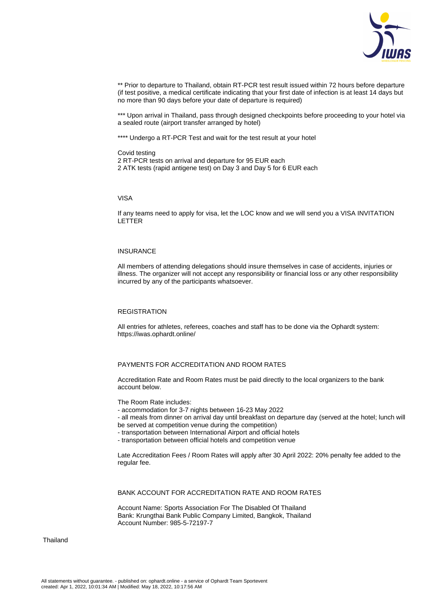

\*\* Prior to departure to Thailand, obtain RT-PCR test result issued within 72 hours before departure (if test positive, a medical certificate indicating that your first date of infection is at least 14 days but no more than 90 days before your date of departure is required)

\*\*\* Upon arrival in Thailand, pass through designed checkpoints before proceeding to your hotel via a sealed route (airport transfer arranged by hotel)

\*\*\*\* Undergo a RT-PCR Test and wait for the test result at your hotel

Covid testing

2 RT-PCR tests on arrival and departure for 95 EUR each 2 ATK tests (rapid antigene test) on Day 3 and Day 5 for 6 EUR each

## VISA

If any teams need to apply for visa, let the LOC know and we will send you a VISA INVITATION LETTER

## INSURANCE

All members of attending delegations should insure themselves in case of accidents, injuries or illness. The organizer will not accept any responsibility or financial loss or any other responsibility incurred by any of the participants whatsoever.

## **REGISTRATION**

All entries for athletes, referees, coaches and staff has to be done via the Ophardt system: https://iwas.ophardt.online/

# PAYMENTS FOR ACCREDITATION AND ROOM RATES

Accreditation Rate and Room Rates must be paid directly to the local organizers to the bank account below.

The Room Rate includes:

- accommodation for 3-7 nights between 16-23 May 2022
- all meals from dinner on arrival day until breakfast on departure day (served at the hotel; lunch will be served at competition venue during the competition)
- transportation between International Airport and official hotels
- transportation between official hotels and competition venue

Late Accreditation Fees / Room Rates will apply after 30 April 2022: 20% penalty fee added to the regular fee.

BANK ACCOUNT FOR ACCREDITATION RATE AND ROOM RATES

Account Name: Sports Association For The Disabled Of Thailand Bank: Krungthai Bank Public Company Limited, Bangkok, Thailand Account Number: 985-5-72197-7